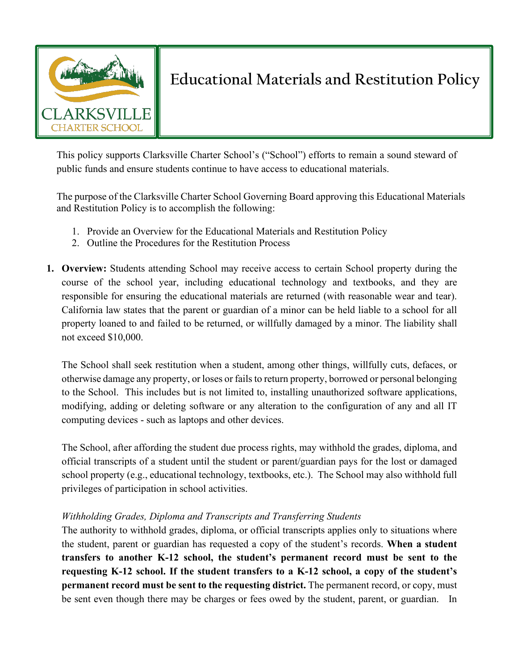

# **Educational Materials and Restitution Policy**

This policy supports Clarksville Charter School's ("School") efforts to remain a sound steward of public funds and ensure students continue to have access to educational materials.

The purpose of the Clarksville Charter School Governing Board approving this Educational Materials and Restitution Policy is to accomplish the following:

- 1. Provide an Overview for the Educational Materials and Restitution Policy
- 2. Outline the Procedures for the Restitution Process
- **1. Overview:** Students attending School may receive access to certain School property during the course of the school year, including educational technology and textbooks, and they are responsible for ensuring the educational materials are returned (with reasonable wear and tear). California law states that the parent or guardian of a minor can be held liable to a school for all property loaned to and failed to be returned, or willfully damaged by a minor. The liability shall not exceed \$10,000.

The School shall seek restitution when a student, among other things, willfully cuts, defaces, or otherwise damage any property, or loses or fails to return property, borrowed or personal belonging to the School. This includes but is not limited to, installing unauthorized software applications, modifying, adding or deleting software or any alteration to the configuration of any and all IT computing devices - such as laptops and other devices.

The School, after affording the student due process rights, may withhold the grades, diploma, and official transcripts of a student until the student or parent/guardian pays for the lost or damaged school property (e.g., educational technology, textbooks, etc.). The School may also withhold full privileges of participation in school activities.

# *Withholding Grades, Diploma and Transcripts and Transferring Students*

The authority to withhold grades, diploma, or official transcripts applies only to situations where the student, parent or guardian has requested a copy of the student's records. **When a student transfers to another K-12 school, the student's permanent record must be sent to the requesting K-12 school. If the student transfers to a K-12 school, a copy of the student's permanent record must be sent to the requesting district.** The permanent record, or copy, must be sent even though there may be charges or fees owed by the student, parent, or guardian. In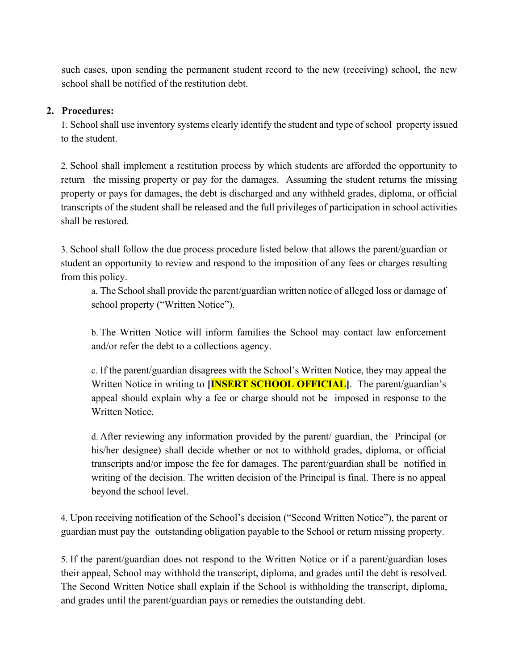such cases, upon sending the permanent student record to the new (receiving) school, the new school shall be notified of the restitution debt.

## **2. Procedures:**

1. School shall use inventory systems clearly identify the student and type of school property issued to the student.

2. School shall implement a restitution process by which students are afforded the opportunity to return the missing property or pay for the damages. Assuming the student returns the missing property or pays for damages, the debt is discharged and any withheld grades, diploma, or official transcripts of the student shall be released and the full privileges of participation in school activities shall be restored.

3. School shall follow the due process procedure listed below that allows the parent/guardian or student an opportunity to review and respond to the imposition of any fees or charges resulting from this policy.

a. The School shall provide the parent/guardian written notice of alleged loss or damage of school property ("Written Notice").

b. The Written Notice will inform families the School may contact law enforcement and/or refer the debt to a collections agency.

c. If the parent/guardian disagrees with the School's Written Notice, they may appeal the Written Notice in writing to **[INSERT SCHOOL OFFICIAL]**. The parent/guardian's appeal should explain why a fee or charge should not be imposed in response to the Written Notice.

d. After reviewing any information provided by the parent/ guardian, the Principal (or his/her designee) shall decide whether or not to withhold grades, diploma, or official transcripts and/or impose the fee for damages. The parent/guardian shall be notified in writing of the decision. The written decision of the Principal is final. There is no appeal beyond the school level.

4. Upon receiving notification of the School's decision ("Second Written Notice"), the parent or guardian must pay the outstanding obligation payable to the School or return missing property.

5. If the parent/guardian does not respond to the Written Notice or if a parent/guardian loses their appeal, School may withhold the transcript, diploma, and grades until the debt is resolved. The Second Written Notice shall explain if the School is withholding the transcript, diploma, and grades until the parent/guardian pays or remedies the outstanding debt.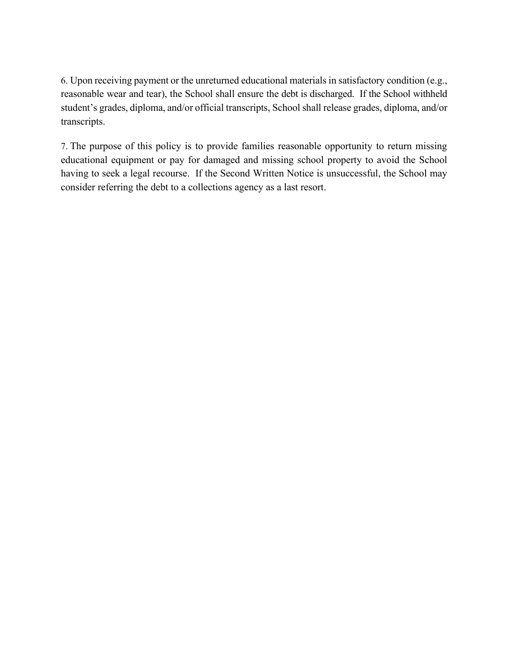6. Upon receiving payment or the unreturned educational materials in satisfactory condition (e.g., reasonable wear and tear), the School shall ensure the debt is discharged. If the School withheld student's grades, diploma, and/or official transcripts, School shall release grades, diploma, and/or transcripts.

7. The purpose of this policy is to provide families reasonable opportunity to return missing educational equipment or pay for damaged and missing school property to avoid the School having to seek a legal recourse. If the Second Written Notice is unsuccessful, the School may consider referring the debt to a collections agency as a last resort.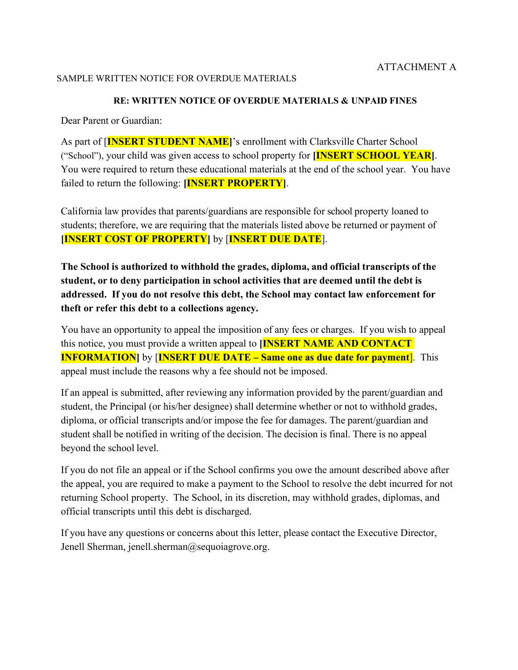#### SAMPLE WRITTEN NOTICE FOR OVERDUE MATERIALS

#### **RE: WRITTEN NOTICE OF OVERDUE MATERIALS & UNPAID FINES**

Dear Parent or Guardian:

As part of [**INSERT STUDENT NAME]**'s enrollment with Clarksville Charter School ("School"), your child was given access to school property for **[INSERT SCHOOL YEAR]**. You were required to return these educational materials at the end of the school year. You have failed to return the following: **[INSERT PROPERTY]**.

California law provides that parents/guardians are responsible for school property loaned to students; therefore, we are requiring that the materials listed above be returned or payment of **[INSERT COST OF PROPERTY]** by [**INSERT DUE DATE**].

**The School is authorized to withhold the grades, diploma, and official transcripts of the student, or to deny participation in school activities that are deemed until the debt is addressed. If you do not resolve this debt, the School may contact law enforcement for theft or refer this debt to a collections agency.**

You have an opportunity to appeal the imposition of any fees or charges. If you wish to appeal this notice, you must provide a written appeal to **[INSERT NAME AND CONTACT INFORMATION** by **[INSERT DUE DATE – Same one as due date for payment**]. This appeal must include the reasons why a fee should not be imposed.

If an appeal is submitted, after reviewing any information provided by the parent/guardian and student, the Principal (or his/her designee) shall determine whether or not to withhold grades, diploma, or official transcripts and/or impose the fee for damages. The parent/guardian and student shall be notified in writing of the decision. The decision is final. There is no appeal beyond the school level.

If you do not file an appeal or if the School confirms you owe the amount described above after the appeal, you are required to make a payment to the School to resolve the debt incurred for not returning School property. The School, in its discretion, may withhold grades, diplomas, and official transcripts until this debt is discharged.

If you have any questions or concerns about this letter, please contact the Executive Director, Jenell Sherman, jenell.sherman@sequoiagrove.org.